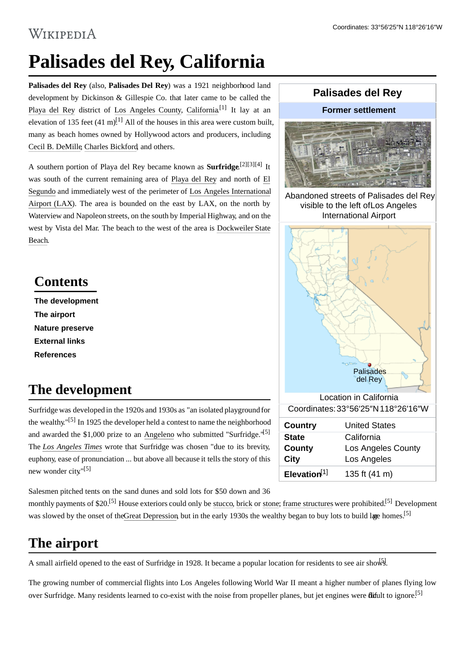# WIKIPEDIA

# **Palisades del Rey, California**

**Palisades del Rey** (also, **Palisades Del Rey**) was a 1921 neighborhood land development by Dickinson & Gillespie Co. that later came to be called the [Playa del Rey](https://en.wikipedia.org/wiki/Playa_del_Rey,_Los_Angeles,_California) district of [Los Angeles County](https://en.wikipedia.org/wiki/Los_Angeles_County,_California), [California.](https://en.wikipedia.org/wiki/California)<sup>[\[1\]](#page-1-0)</sup> It lay at an elevation of 135 feet  $(41 \text{ m})$ .<sup>[\[1\]](#page-1-0)</sup> All of the houses in this area were custom built, many as beach homes owned by Hollywood actors and producers, including [Cecil B. DeMille](https://en.wikipedia.org/wiki/Cecil_B._DeMille), [Charles Bickford](https://en.wikipedia.org/wiki/Charles_Bickford), and others.

A southern portion of Playa del Rey became known as **Surfridge**. [\[2\]](#page-1-1)[\[3\]](#page-1-2)[\[4\]](#page-1-3) It was south of the current remaining area of [Playa del Rey](https://en.wikipedia.org/wiki/Playa_del_Rey,_Los_Angeles,_California) and north of El Segundo [and immediately west of the perimeter of Los Angeles International](https://en.wikipedia.org/wiki/El_Segundo,_California) Airport (LAX). The area is bounded on the east by LAX, on the north by Waterview and Napoleon streets, on the south by Imperial Highway, and on the [west by Vista del Mar. The beach to the west of the area is Dockweiler State](https://en.wikipedia.org/wiki/Dockweiler_State_Beach) Beach.

#### **Contents**

**[The development](#page-0-0) [The airport](#page-0-1) [Nature preserve](#page-1-4) [External links](#page-1-5) [References](#page-1-6)**

### <span id="page-0-0"></span>**The development**

Surfridge was developed in the 1920s and 1930s as "an isolated playground for the wealthy."[\[5\]](#page-1-7) In 1925 the developer held a contest to name the neighborhood and awarded the \$1,000 prize to an [Angeleno](https://en.wikipedia.org/wiki/Angeleno) who submitted "Surfridge."<sup>[\[5\]](#page-1-7)</sup> The *[Los Angeles Times](https://en.wikipedia.org/wiki/Los_Angeles_Times)* wrote that Surfridge was chosen "due to its brevity, euphony, ease of pronunciation ... but above all because it tells the story of this new wonder city"<sup>[\[5\]](#page-1-7)</sup>

Salesmen pitched tents on the sand dunes and sold lots for \$50 down and 36

monthly payments of \$20.<sup>[\[5\]](#page-1-7)</sup> House exteriors could only be [stucco](https://en.wikipedia.org/wiki/Stucco), [brick](https://en.wikipedia.org/wiki/Brick) or [stone;](https://en.wikipedia.org/wiki/Stone) [frame structures](https://en.wikipedia.org/wiki/Frame_house) were prohibited.<sup>[5]</sup> Development was slowed by the onset of th[e Great Depression](https://en.wikipedia.org/wiki/Great_Depression), but in the early 1930s the wealthy began to buy lots to build lane homes.<sup>[\[5\]](#page-1-7)</sup>

#### <span id="page-0-1"></span>**The airport**

A small airfield opened to the east of Surfridge in 1928. It became a popular location for residents to see air show.

The growing number of commercial flights into Los Angeles following World War II meant a higher number of planes flying low over Surfridge. Many residents learned to co-exist with the noise from propeller planes, but jet engines were diffult to ignore.<sup>[\[5\]](#page-1-7)</sup>

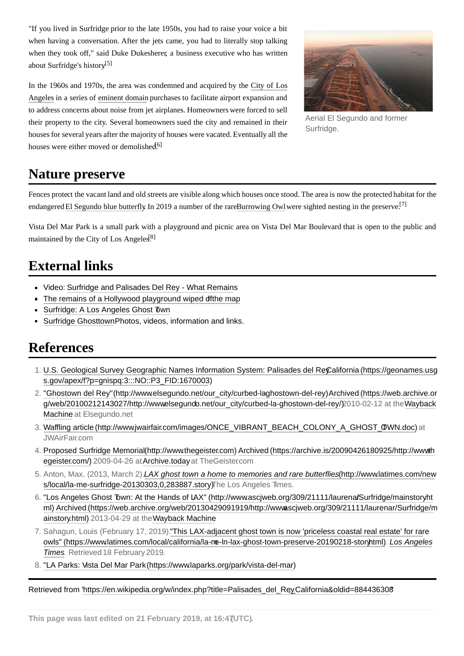"If you lived in Surfridge prior to the late 1950s, you had to raise your voice a bit when having a conversation. After the jets came, you had to literally stop talking when they took off," said Duke Dukesherer, a business executive who has written about Surfridge's history<sup>[\[5\]](#page-1-7)</sup>

[In the 1960s and 1970s, the area was condemned and acquired by the City of Los](https://en.wikipedia.org/wiki/Los_Angeles) Angeles in a series of [eminent domain](https://en.wikipedia.org/wiki/Eminent_domain) purchases to facilitate airport expansion and to address concerns about noise from jet airplanes. Homeowners were forced to sell their property to the city. Several homeowners sued the city and remained in their houses for several years after the majority of houses were vacated. Eventually all the houses were either moved or demolished.<sup>[\[6\]](#page-1-8)</sup>



Aerial El Segundo and former Surfridge.

#### <span id="page-1-4"></span>**Nature preserve**

Fences protect the vacant land and old streets are visible along which houses once stood. The area is now the protected habitat for the endangered [El Segundo blue butterfly](https://en.wikipedia.org/wiki/El_Segundo_blue_butterfly). In 2019 a number of the rare [Burrowing Owl](https://en.wikipedia.org/wiki/Burrowing_Owl) were sighted nesting in the preserve.<sup>[\[7\]](#page-1-9)</sup>

Vista Del Mar Park is a small park with a playground and picnic area on Vista Del Mar Boulevard that is open to the public and maintained by the City of Los Angeles.<sup>[\[8\]](#page-1-10)</sup>

### <span id="page-1-5"></span>**External links**

- Video: [Surfridge and Palisades Del Rey What Remain](https://www.youtube.com/watch?v=U4UIujUMuRk)s
- The remains of a Hollywood playground wiped of the map  $\blacksquare$
- $\blacksquare$ [Surfridge: A Los Angeles Ghost Town](https://web.archive.org/web/20120831202039/http://launfd.com/2012/08/28/los-angeles-ghost-town/)
- [Surfridge Ghosttown](http://www.lakata.org/arch/surfridge/)Photos, videos, information and links.  $\blacksquare$

## <span id="page-1-6"></span>**References**

- <span id="page-1-0"></span>1. U.S. Geological Survey Geographic Names Information System: Palisades del Re©alifornia (https://geonames.usg s.gov/apex/f?p=gnispq:3:::NO::P3\_FID:1670003)
- <span id="page-1-1"></span>2. "Ghostown del Rey" (http://www.elsegundo.net/our\_city/curbed-laghostown-del-rey[\)Archived \(https://web.archive.or](https://web.archive.org/web/20100212143027/http://www.elsegundo.net/our_city/curbed-la-ghostown-del-rey/) g/web/20100212143027/http://wwwelsegundo.net/our\_city/curbed-la-ghostown-del-rey/) 2010-02-12 at the Wayback Machine at Elsegundo.net
- <span id="page-1-2"></span>3. [Waffling article \(http://www.jwairfair.com/images/ONCE\\_VIBRANT\\_BEACH\\_COLONY\\_A\\_GHOST\\_TOWN.doc\)](http://www.jwairfair.com/images/ONCE_VIBRANT_BEACH_COLONY_A_GHOST_TOWN.doc) at JWAirFair.com
- <span id="page-1-3"></span>4. Proposed Surfridge Memorial(http://www.thegeister.com) Archived (https://archive.is/20090426180925/http://www.th [egeister.com/\) 2009-04-26 at Archive.today at TheGeister.com](https://archive.is/20090426180925/http://www.thegeister.com/)
- <span id="page-1-7"></span>5. Anton, Max. (2013, March 2). *LAX ghost town a home to memories and rare butterflies*. (http://www.latimes.com/new [s/local/la-me-surfridge-20130303,0,283887.story\) The Los Angeles Times.](http://www.latimes.com/news/local/la-me-surfridge-20130303,0,283887.story)
- <span id="page-1-8"></span>6. "Los Angeles Ghost Town: At the Hands of LAX" (http://www.ascjweb.org/309/21111/laurena/Surfridge/mainstoryht ml) Archived (https://web.archive.org/web/20130429091919/http://wwwascjweb.org/309/21111/laurenar/Surfridge/m ainstory.html) 2013-04-29 at the [Wayback Machine](https://en.wikipedia.org/wiki/Wayback_Machine)
- <span id="page-1-9"></span>7. [Sahagun, Louis \(February 17, 2019\). "This LAX-adjacent ghost town is now 'priceless coastal real estate' for rar](https://www.latimes.com/local/california/la-me-ln-lax-ghost-town-preserve-20190218-story.html)e [owls" \(https://www.latimes.com/local/california/la-me-ln-lax-ghost-town-preserve-20190218-story.html\).](https://en.wikipedia.org/wiki/Los_Angeles_Times) *Los Angeles Times*. Retrieved 18 February 2019.
- <span id="page-1-10"></span>8. ["LA Parks: Vista Del Mar Park \(https://www.laparks.org/park/vista-del-mar](https://www.laparks.org/park/vista-del-mar))

#### Retrieved from 'https://en.wikipedia.org/w/index.php?title=Palisades\_del\_ReyCalifornia&oldid=884436308